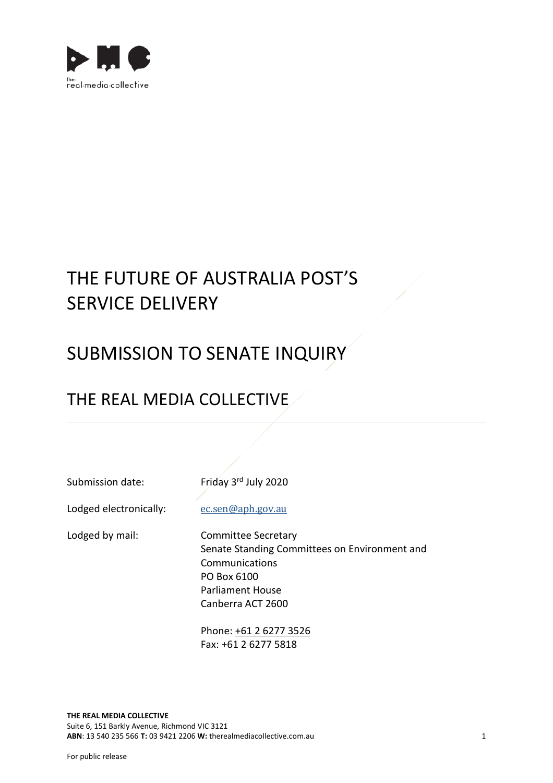

# THE FUTURE OF AUSTRALIA POST'S SERVICE DELIVERY

# SUBMISSION TO SENATE INQUIRY

## THE REAL MEDIA COLLECTIVE

Submission date: Friday 3rd July 2020

Lodged electronically: [ec.sen@aph.gov.au](mailto:ec.sen@aph.gov.au)

Lodged by mail: Committee Secretary Senate Standing Committees on Environment and Communications PO Box 6100 Parliament House Canberra ACT 2600

> Phone: [+61 2 6277 3526](tel:+61+61%202%206277%203526) Fax: +61 2 6277 5818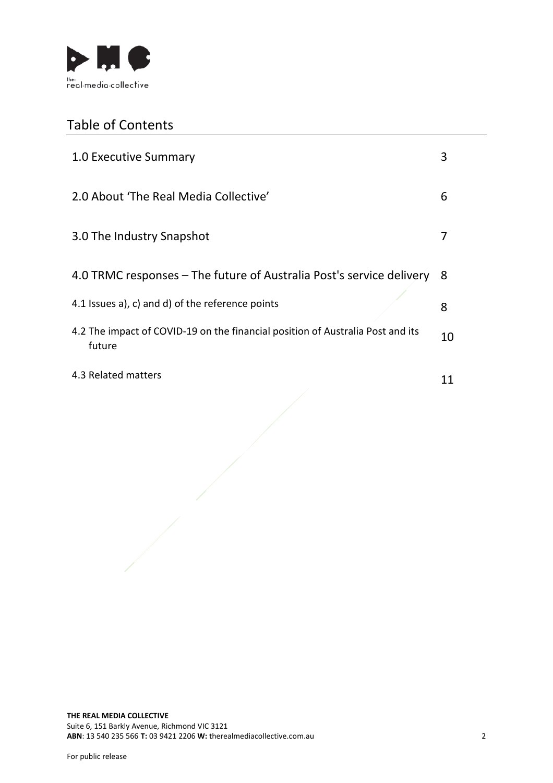

## Table of Contents

| 1.0 Executive Summary                                                                    | 3  |
|------------------------------------------------------------------------------------------|----|
| 2.0 About 'The Real Media Collective'                                                    | 6  |
| 3.0 The Industry Snapshot                                                                |    |
| 4.0 TRMC responses – The future of Australia Post's service delivery                     | 8  |
| 4.1 Issues a), c) and d) of the reference points                                         | 8  |
| 4.2 The impact of COVID-19 on the financial position of Australia Post and its<br>future | 10 |
| 4.3 Related matters                                                                      | 11 |
|                                                                                          |    |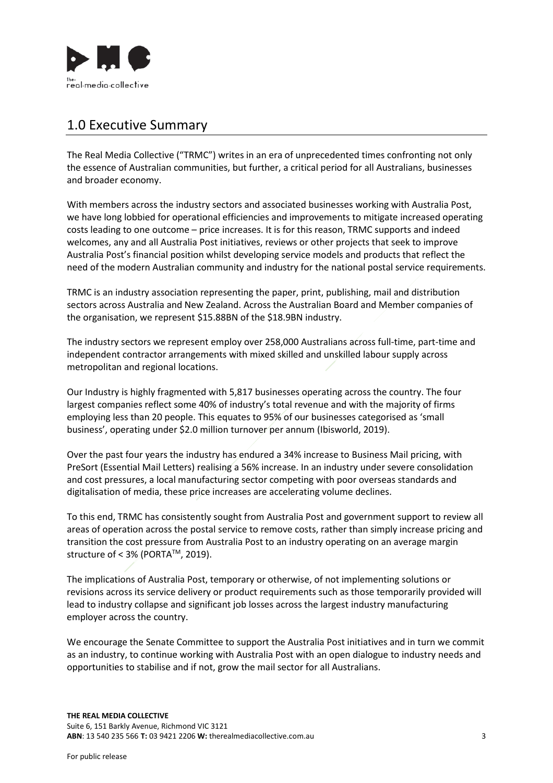

### 1.0 Executive Summary

The Real Media Collective ("TRMC") writes in an era of unprecedented times confronting not only the essence of Australian communities, but further, a critical period for all Australians, businesses and broader economy.

With members across the industry sectors and associated businesses working with Australia Post, we have long lobbied for operational efficiencies and improvements to mitigate increased operating costs leading to one outcome – price increases. It is for this reason, TRMC supports and indeed welcomes, any and all Australia Post initiatives, reviews or other projects that seek to improve Australia Post's financial position whilst developing service models and products that reflect the need of the modern Australian community and industry for the national postal service requirements.

TRMC is an industry association representing the paper, print, publishing, mail and distribution sectors across Australia and New Zealand. Across the Australian Board and Member companies of the organisation, we represent \$15.88BN of the \$18.9BN industry.

The industry sectors we represent employ over 258,000 Australians across full-time, part-time and independent contractor arrangements with mixed skilled and unskilled labour supply across metropolitan and regional locations.

Our Industry is highly fragmented with 5,817 businesses operating across the country. The four largest companies reflect some 40% of industry's total revenue and with the majority of firms employing less than 20 people. This equates to 95% of our businesses categorised as 'small business', operating under \$2.0 million turnover per annum (Ibisworld, 2019).

Over the past four years the industry has endured a 34% increase to Business Mail pricing, with PreSort (Essential Mail Letters) realising a 56% increase. In an industry under severe consolidation and cost pressures, a local manufacturing sector competing with poor overseas standards and digitalisation of media, these price increases are accelerating volume declines.

To this end, TRMC has consistently sought from Australia Post and government support to review all areas of operation across the postal service to remove costs, rather than simply increase pricing and transition the cost pressure from Australia Post to an industry operating on an average margin structure of < 3% (PORTA™, 2019).

The implications of Australia Post, temporary or otherwise, of not implementing solutions or revisions across its service delivery or product requirements such as those temporarily provided will lead to industry collapse and significant job losses across the largest industry manufacturing employer across the country.

We encourage the Senate Committee to support the Australia Post initiatives and in turn we commit as an industry, to continue working with Australia Post with an open dialogue to industry needs and opportunities to stabilise and if not, grow the mail sector for all Australians.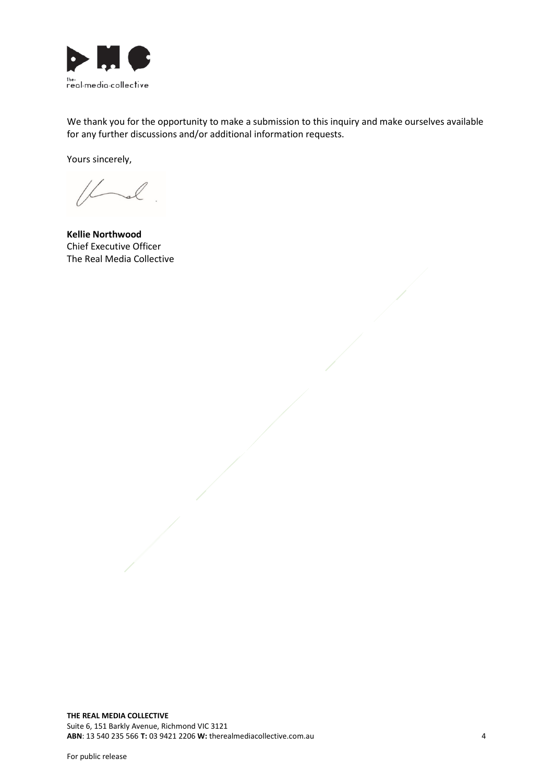

We thank you for the opportunity to make a submission to this inquiry and make ourselves available for any further discussions and/or additional information requests.

Yours sincerely,

 $\sim$ 

**Kellie Northwood** Chief Executive Officer The Real Media Collective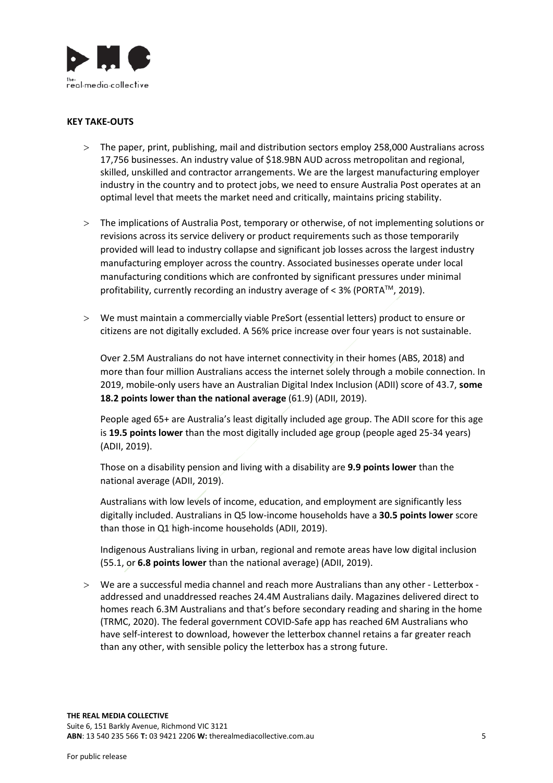

#### **KEY TAKE-OUTS**

- > The paper, print, publishing, mail and distribution sectors employ 258,000 Australians across 17,756 businesses. An industry value of \$18.9BN AUD across metropolitan and regional, skilled, unskilled and contractor arrangements. We are the largest manufacturing employer industry in the country and to protect jobs, we need to ensure Australia Post operates at an optimal level that meets the market need and critically, maintains pricing stability.
- > The implications of Australia Post, temporary or otherwise, of not implementing solutions or revisions across its service delivery or product requirements such as those temporarily provided will lead to industry collapse and significant job losses across the largest industry manufacturing employer across the country. Associated businesses operate under local manufacturing conditions which are confronted by significant pressures under minimal profitability, currently recording an industry average of < 3% (PORTA™, 2019).
- > We must maintain a commercially viable PreSort (essential letters) product to ensure or citizens are not digitally excluded. A 56% price increase over four years is not sustainable.

Over 2.5M Australians do not have internet connectivity in their homes (ABS, 2018) and more than four million Australians access the internet solely through a mobile connection. In 2019, mobile-only users have an Australian Digital Index Inclusion (ADII) score of 43.7, **some 18.2 points lower than the national average** (61.9) (ADII, 2019).

People aged 65+ are Australia's least digitally included age group. The ADII score for this age is **19.5 points lower** than the most digitally included age group (people aged 25-34 years) (ADII, 2019).

Those on a disability pension and living with a disability are **9.9 points lower** than the national average (ADII, 2019).

Australians with low levels of income, education, and employment are significantly less digitally included. Australians in Q5 low-income households have a **30.5 points lower** score than those in Q1 high-income households (ADII, 2019).

Indigenous Australians living in urban, regional and remote areas have low digital inclusion (55.1, or **6.8 points lower** than the national average) (ADII, 2019).

> We are a successful media channel and reach more Australians than any other - Letterbox addressed and unaddressed reaches 24.4M Australians daily. Magazines delivered direct to homes reach 6.3M Australians and that's before secondary reading and sharing in the home (TRMC, 2020). The federal government COVID-Safe app has reached 6M Australians who have self-interest to download, however the letterbox channel retains a far greater reach than any other, with sensible policy the letterbox has a strong future.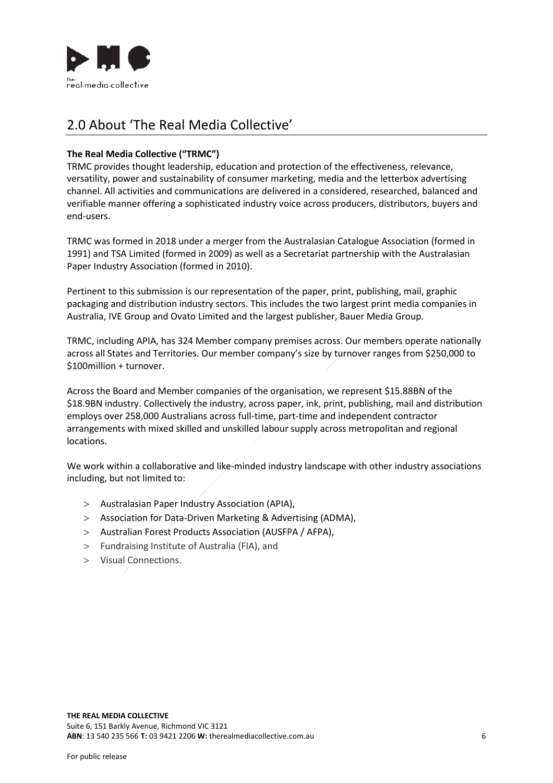

### 2.0 About 'The Real Media Collective'

### **The Real Media Collective ("TRMC")**

TRMC provides thought leadership, education and protection of the effectiveness, relevance, versatility, power and sustainability of consumer marketing, media and the letterbox advertising channel. All activities and communications are delivered in a considered, researched, balanced and verifiable manner offering a sophisticated industry voice across producers, distributors, buyers and end-users.

TRMC was formed in 2018 under a merger from the Australasian Catalogue Association (formed in 1991) and TSA Limited (formed in 2009) as well as a Secretariat partnership with the Australasian Paper Industry Association (formed in 2010).

Pertinent to this submission is our representation of the paper, print, publishing, mail, graphic packaging and distribution industry sectors. This includes the two largest print media companies in Australia, IVE Group and Ovato Limited and the largest publisher, Bauer Media Group.

TRMC, including APIA, has 324 Member company premises across. Our members operate nationally across all States and Territories. Our member company's size by turnover ranges from \$250,000 to \$100million + turnover.

Across the Board and Member companies of the organisation, we represent \$15.88BN of the \$18.9BN industry. Collectively the industry, across paper, ink, print, publishing, mail and distribution employs over 258,000 Australians across full-time, part-time and independent contractor arrangements with mixed skilled and unskilled labour supply across metropolitan and regional locations.

We work within a collaborative and like-minded industry landscape with other industry associations including, but not limited to:

- > Australasian Paper Industry Association (APIA),
- > Association for Data-Driven Marketing & Advertising (ADMA),
- > Australian Forest Products Association (AUSFPA / AFPA),
- > Fundraising Institute of Australia (FIA), and
- > Visual Connections.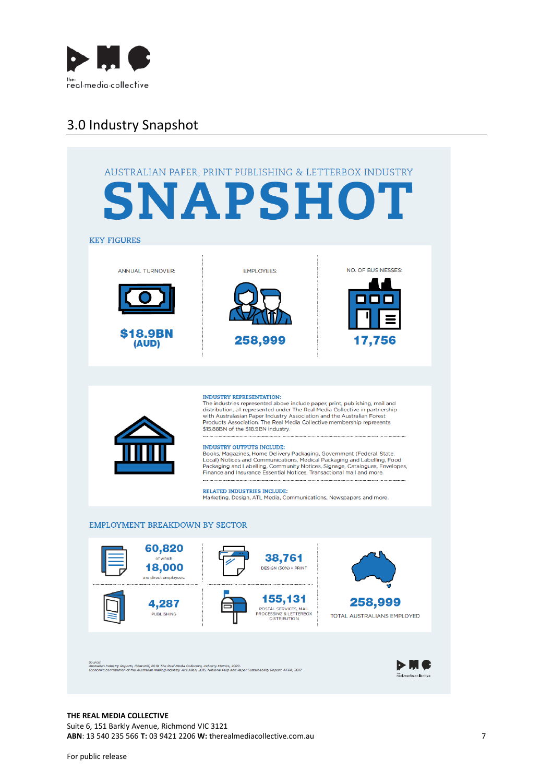

### 3.0 Industry Snapshot



#### **THE REAL MEDIA COLLECTIVE**

Suite 6, 151 Barkly Avenue, Richmond VIC 3121 **ABN**: 13 540 235 566 **T:** 03 9421 2206 **W:** therealmediacollective.com.au 7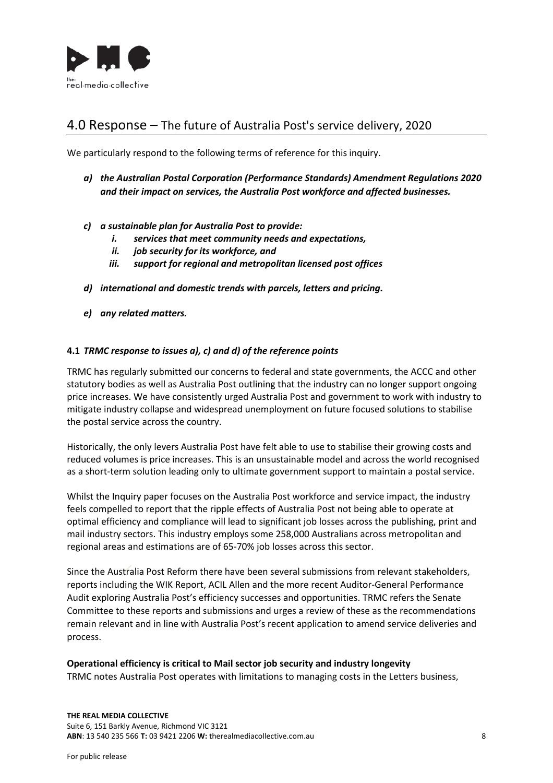

### 4.0 Response – The future of Australia Post's service delivery, 2020

We particularly respond to the following terms of reference for this inquiry.

- *a) the Australian Postal Corporation (Performance Standards) Amendment Regulations 2020 and their impact on services, the Australia Post workforce and affected businesses.*
- *c) a sustainable plan for Australia Post to provide:*
	- *i. services that meet community needs and expectations,*
	- *ii. job security for its workforce, and*
	- *iii. support for regional and metropolitan licensed post offices*
- *d) international and domestic trends with parcels, letters and pricing.*
- *e) any related matters.*

### **4.1** *TRMC response to issues a), c) and d) of the reference points*

TRMC has regularly submitted our concerns to federal and state governments, the ACCC and other statutory bodies as well as Australia Post outlining that the industry can no longer support ongoing price increases. We have consistently urged Australia Post and government to work with industry to mitigate industry collapse and widespread unemployment on future focused solutions to stabilise the postal service across the country.

Historically, the only levers Australia Post have felt able to use to stabilise their growing costs and reduced volumes is price increases. This is an unsustainable model and across the world recognised as a short-term solution leading only to ultimate government support to maintain a postal service.

Whilst the Inquiry paper focuses on the Australia Post workforce and service impact, the industry feels compelled to report that the ripple effects of Australia Post not being able to operate at optimal efficiency and compliance will lead to significant job losses across the publishing, print and mail industry sectors. This industry employs some 258,000 Australians across metropolitan and regional areas and estimations are of 65-70% job losses across this sector.

Since the Australia Post Reform there have been several submissions from relevant stakeholders, reports including the WIK Report, ACIL Allen and the more recent Auditor-General Performance Audit exploring Australia Post's efficiency successes and opportunities. TRMC refers the Senate Committee to these reports and submissions and urges a review of these as the recommendations remain relevant and in line with Australia Post's recent application to amend service deliveries and process.

#### **Operational efficiency is critical to Mail sector job security and industry longevity**

TRMC notes Australia Post operates with limitations to managing costs in the Letters business,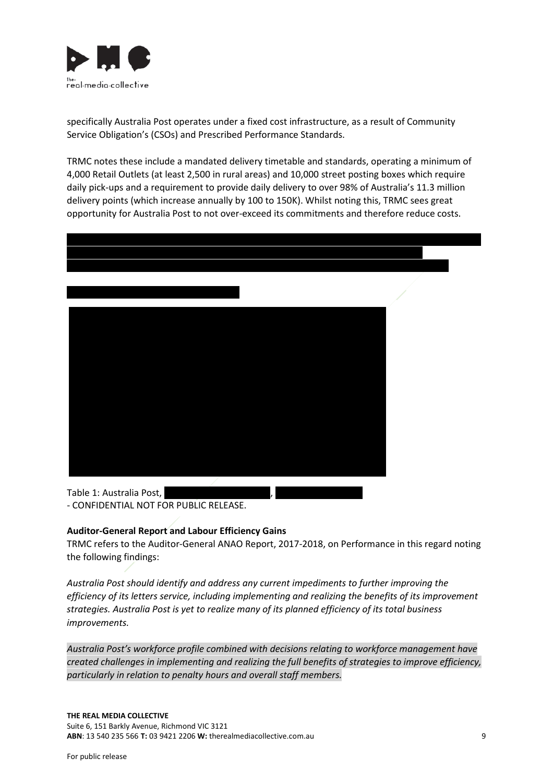

specifically Australia Post operates under a fixed cost infrastructure, as a result of Community Service Obligation's (CSOs) and Prescribed Performance Standards.

TRMC notes these include a mandated delivery timetable and standards, operating a minimum of 4,000 Retail Outlets (at least 2,500 in rural areas) and 10,000 street posting boxes which require daily pick-ups and a requirement to provide daily delivery to over 98% of Australia's 11.3 million delivery points (which increase annually by 100 to 150K). Whilst noting this, TRMC sees great opportunity for Australia Post to not over-exceed its commitments and therefore reduce costs.



Table 1: Australia Post, - CONFIDENTIAL NOT FOR PUBLIC RELEASE.

#### **Auditor-General Report and Labour Efficiency Gains**

TRMC refers to the Auditor-General ANAO Report, 2017-2018, on Performance in this regard noting the following findings:

*Australia Post should identify and address any current impediments to further improving the efficiency of its letters service, including implementing and realizing the benefits of its improvement strategies. Australia Post is yet to realize many of its planned efficiency of its total business improvements.* 

*Australia Post's workforce profile combined with decisions relating to workforce management have created challenges in implementing and realizing the full benefits of strategies to improve efficiency, particularly in relation to penalty hours and overall staff members.*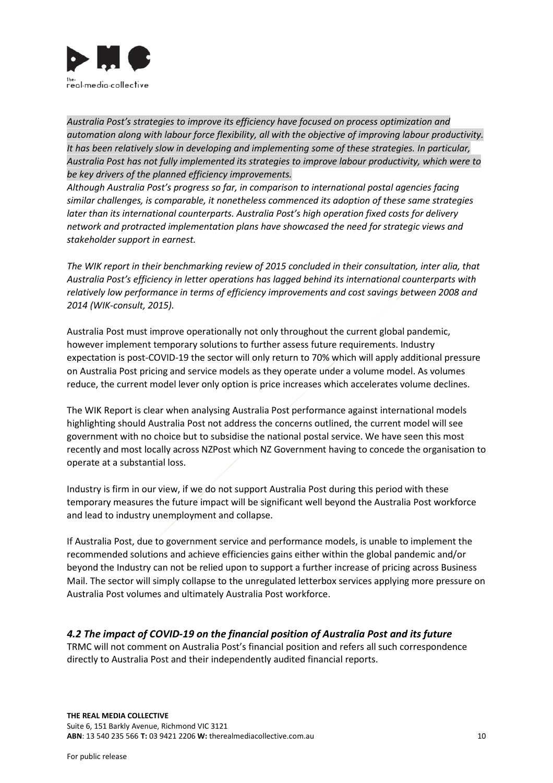

*Australia Post's strategies to improve its efficiency have focused on process optimization and automation along with labour force flexibility, all with the objective of improving labour productivity. It has been relatively slow in developing and implementing some of these strategies. In particular, Australia Post has not fully implemented its strategies to improve labour productivity, which were to be key drivers of the planned efficiency improvements.*

*Although Australia Post's progress so far, in comparison to international postal agencies facing similar challenges, is comparable, it nonetheless commenced its adoption of these same strategies later than its international counterparts. Australia Post's high operation fixed costs for delivery network and protracted implementation plans have showcased the need for strategic views and stakeholder support in earnest.* 

*The WIK report in their benchmarking review of 2015 concluded in their consultation, inter alia, that Australia Post's efficiency in letter operations has lagged behind its international counterparts with relatively low performance in terms of efficiency improvements and cost savings between 2008 and 2014 (WIK-consult, 2015).*

Australia Post must improve operationally not only throughout the current global pandemic, however implement temporary solutions to further assess future requirements. Industry expectation is post-COVID-19 the sector will only return to 70% which will apply additional pressure on Australia Post pricing and service models as they operate under a volume model. As volumes reduce, the current model lever only option is price increases which accelerates volume declines.

The WIK Report is clear when analysing Australia Post performance against international models highlighting should Australia Post not address the concerns outlined, the current model will see government with no choice but to subsidise the national postal service. We have seen this most recently and most locally across NZPost which NZ Government having to concede the organisation to operate at a substantial loss.

Industry is firm in our view, if we do not support Australia Post during this period with these temporary measures the future impact will be significant well beyond the Australia Post workforce and lead to industry unemployment and collapse.

If Australia Post, due to government service and performance models, is unable to implement the recommended solutions and achieve efficiencies gains either within the global pandemic and/or beyond the Industry can not be relied upon to support a further increase of pricing across Business Mail. The sector will simply collapse to the unregulated letterbox services applying more pressure on Australia Post volumes and ultimately Australia Post workforce.

### *4.2 The impact of COVID-19 on the financial position of Australia Post and its future*

TRMC will not comment on Australia Post's financial position and refers all such correspondence directly to Australia Post and their independently audited financial reports.